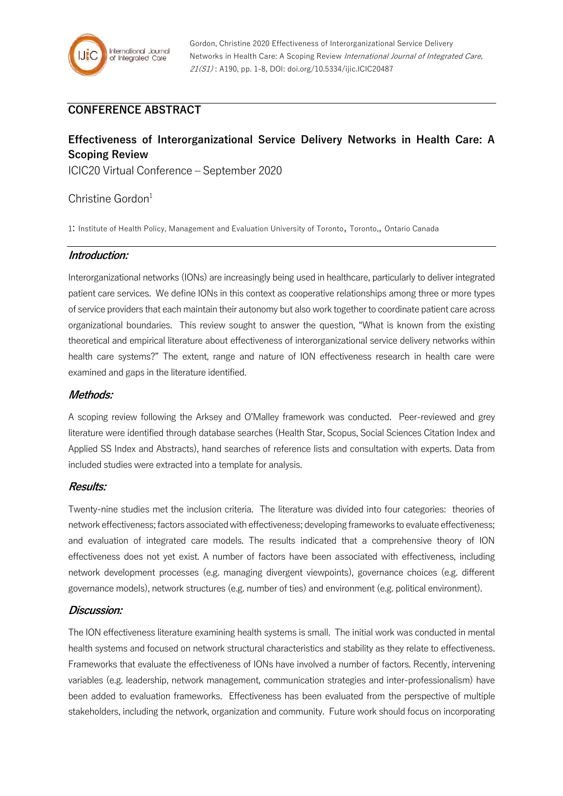

## **CONFERENCE ABSTRACT**

# **Effectiveness of Interorganizational Service Delivery Networks in Health Care: A Scoping Review**

ICIC20 Virtual Conference – September 2020

## Christine Gordon $1$

1: Institute of Health Policy, Management and Evaluation University of Toronto, Toronto,, Ontario Canada

#### **Introduction:**

Interorganizational networks (IONs) are increasingly being used in healthcare, particularly to deliver integrated patient care services. We define IONs in this context as cooperative relationships among three or more types of service providers that each maintain their autonomy but also work together to coordinate patient care across organizational boundaries. This review sought to answer the question, "What is known from the existing theoretical and empirical literature about effectiveness of interorganizational service delivery networks within health care systems?" The extent, range and nature of ION effectiveness research in health care were examined and gaps in the literature identified.

#### **Methods:**

A scoping review following the Arksey and O'Malley framework was conducted. Peer-reviewed and grey literature were identified through database searches (Health Star, Scopus, Social Sciences Citation Index and Applied SS Index and Abstracts), hand searches of reference lists and consultation with experts. Data from included studies were extracted into a template for analysis.

#### **Results:**

Twenty-nine studies met the inclusion criteria. The literature was divided into four categories: theories of network effectiveness; factorsassociated with effectiveness; developing frameworks to evaluate effectiveness; and evaluation of integrated care models. The results indicated that a comprehensive theory of ION effectiveness does not yet exist. A number of factors have been associated with effectiveness, including network development processes (e.g. managing divergent viewpoints), governance choices (e.g. different governance models), network structures (e.g. number of ties) and environment (e.g. political environment).

#### **Discussion:**

The ION effectiveness literature examining health systems is small. The initial work was conducted in mental health systems and focused on network structural characteristics and stability as they relate to effectiveness. Frameworks that evaluate the effectiveness of IONs have involved a number of factors. Recently, intervening variables (e.g. leadership, network management, communication strategies and inter-professionalism) have been added to evaluation frameworks. Effectiveness has been evaluated from the perspective of multiple stakeholders, including the network, organization and community. Future work should focus on incorporating